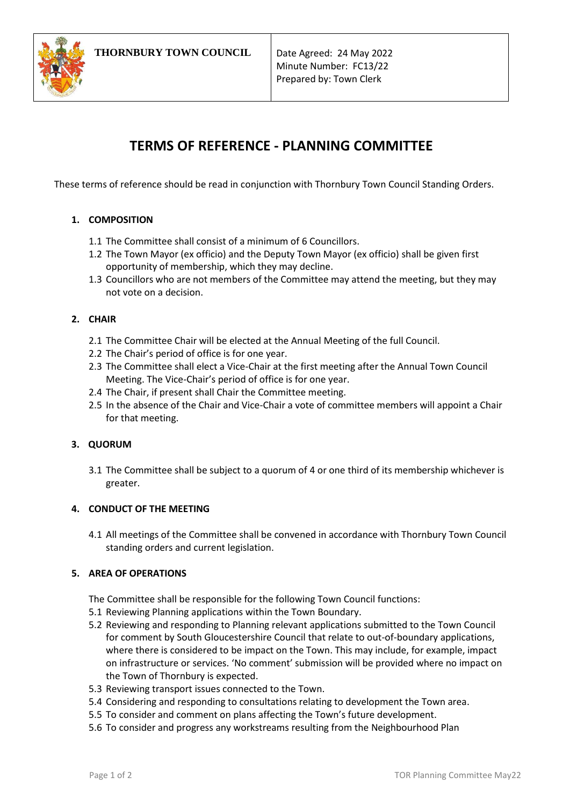

Minute Number: FC13/22 Prepared by: Town Clerk

# **TERMS OF REFERENCE - PLANNING COMMITTEE**

These terms of reference should be read in conjunction with Thornbury Town Council Standing Orders.

# **1. COMPOSITION**

- 1.1 The Committee shall consist of a minimum of 6 Councillors.
- 1.2 The Town Mayor (ex officio) and the Deputy Town Mayor (ex officio) shall be given first opportunity of membership, which they may decline.
- 1.3 Councillors who are not members of the Committee may attend the meeting, but they may not vote on a decision.

# **2. CHAIR**

- 2.1 The Committee Chair will be elected at the Annual Meeting of the full Council.
- 2.2 The Chair's period of office is for one year.
- 2.3 The Committee shall elect a Vice-Chair at the first meeting after the Annual Town Council Meeting. The Vice-Chair's period of office is for one year.
- 2.4 The Chair, if present shall Chair the Committee meeting.
- 2.5 In the absence of the Chair and Vice-Chair a vote of committee members will appoint a Chair for that meeting.

### **3. QUORUM**

3.1 The Committee shall be subject to a quorum of 4 or one third of its membership whichever is greater.

# **4. CONDUCT OF THE MEETING**

4.1 All meetings of the Committee shall be convened in accordance with Thornbury Town Council standing orders and current legislation.

### **5. AREA OF OPERATIONS**

The Committee shall be responsible for the following Town Council functions:

- 5.1 Reviewing Planning applications within the Town Boundary.
- 5.2 Reviewing and responding to Planning relevant applications submitted to the Town Council for comment by South Gloucestershire Council that relate to out-of-boundary applications, where there is considered to be impact on the Town. This may include, for example, impact on infrastructure or services. 'No comment' submission will be provided where no impact on the Town of Thornbury is expected.
- 5.3 Reviewing transport issues connected to the Town.
- 5.4 Considering and responding to consultations relating to development the Town area.
- 5.5 To consider and comment on plans affecting the Town's future development.
- 5.6 To consider and progress any workstreams resulting from the Neighbourhood Plan